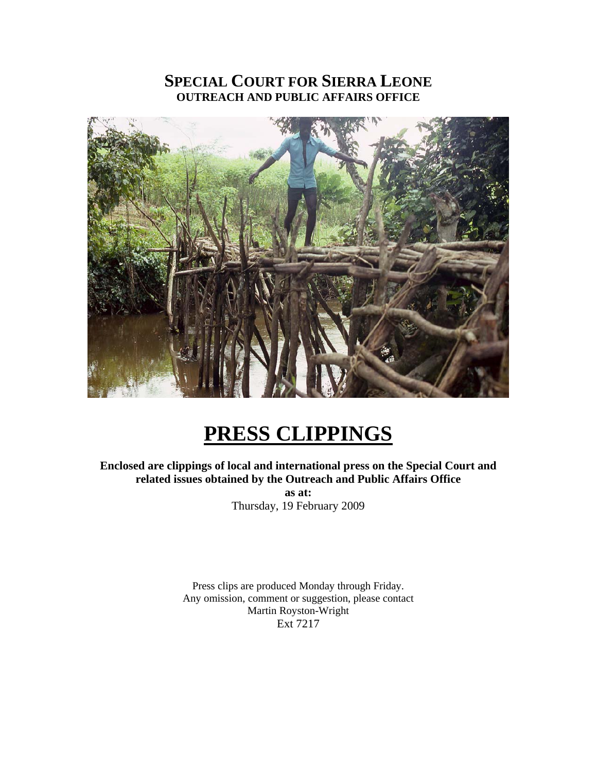## **SPECIAL COURT FOR SIERRA LEONE OUTREACH AND PUBLIC AFFAIRS OFFICE**



# **PRESS CLIPPINGS**

**Enclosed are clippings of local and international press on the Special Court and related issues obtained by the Outreach and Public Affairs Office as at:**  Thursday, 19 February 2009

> Press clips are produced Monday through Friday. Any omission, comment or suggestion, please contact Martin Royston-Wright Ext 7217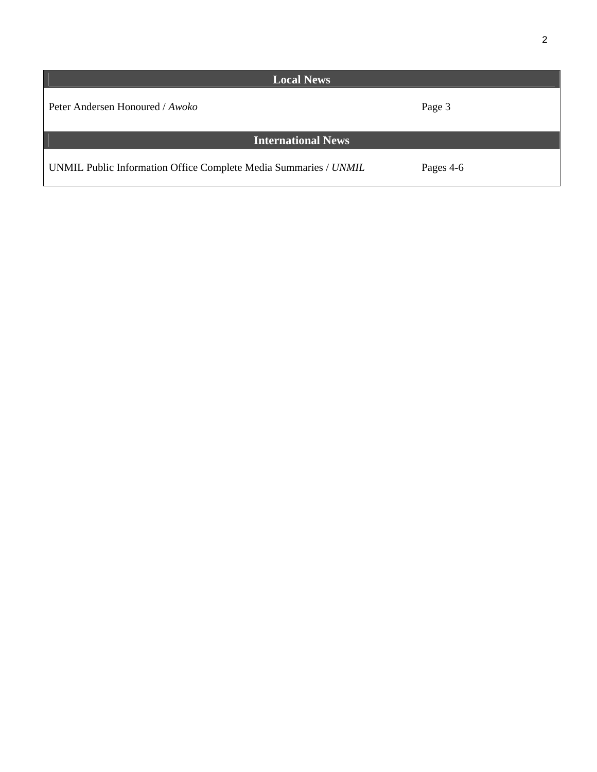| <b>Local News</b>                                                |           |
|------------------------------------------------------------------|-----------|
| Peter Andersen Honoured / Awoko                                  | Page 3    |
| <b>International News</b>                                        |           |
| UNMIL Public Information Office Complete Media Summaries / UNMIL | Pages 4-6 |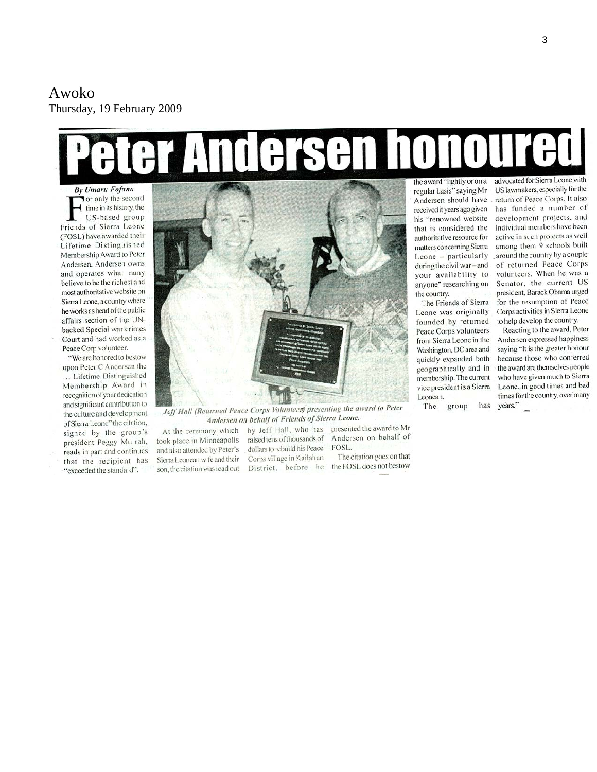### Awoko Thursday, 19 February 2009

# the award "lightly or on a advocated for Sierra Leone with

**By Umaru Fofana Tor only the second** time in its history, the US-based group Friends of Sierra Leone (FOSL) have awarded their Lifetime Distinguished Membership Award to Peter Andersen. Andersen owns and operates what many believe to be the richest and most authoritative website on Sierra Leone, a country where he works as head of the public affairs section of the UNbacked Special war crimes Court and had worked as a Peace Corp volunteer.

"We are honored to bestow upon Peter C Andersen the ... Lifetime Distinguished Membership Award in recognition of your dedication and significant contribution to the culture and development of Sierra Leone" the citation, signed by the group's president Peggy Murrah, reads in part and continues that the recipient has "exceeded the standard".



Jeff Hall (Returned Peace Corps Voluntees) presenting the award to Peter Andersen on behalf of Friends of Sierra Leone.

At the ceremony which took place in Minneapolis and also attended by Peter's Sierra Leonean wife and their son, the citation was read out

presented the award to Mr by Jeff Hall, who has raised tens of thousands of Andersen on behalf of dollars to rebuild his Peace FOSL. Corps village in Kailahun District, before he the FOSL does not bestow

The citation goes on that

regular basis" saying Mr Andersen should have received it years ago given his "renowned website that is considered the authoritative resource for matters concerning Sierra Leone - particularly during the civil war-and your availability to anvone" researching on the country.

The Friends of Sierra Leone was originally founded by returned Peace Corps volunteers from Sierra Leone in the Washington, DC area and quickly expanded both geographically and in membership. The current vice president is a Sierra Leonean.

The group has

US lawmakers, especially for the return of Peace Corps. It also has funded a number of development projects, and individual members have been active in such projects as well among them 9 schools built around the country by a couple of returned Peace Corps volunteers. When he was a Senator, the current US president, Barack Obama urged for the resumption of Peace Corps activities in Sierra Leone to help develop the country.

Reacting to the award, Peter Andersen expressed happiness saying "It is the greater honour because those who conferred the award are themselves people who have given much to Sierra Leone, in good times and bad times for the country, over many years."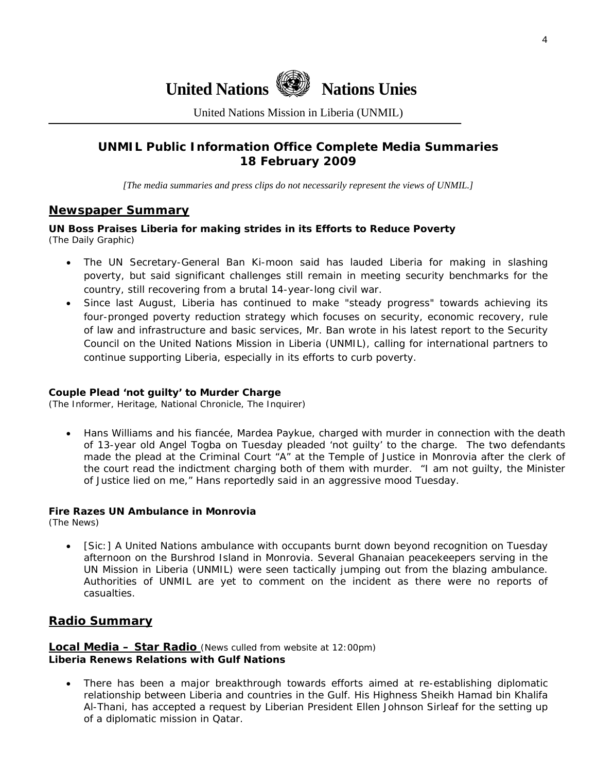

United Nations Mission in Liberia (UNMIL)

#### **UNMIL Public Information Office Complete Media Summaries 18 February 2009**

*[The media summaries and press clips do not necessarily represent the views of UNMIL.]* 

#### **Newspaper Summary**

#### **UN Boss Praises Liberia for making strides in its Efforts to Reduce Poverty**  (The Daily Graphic)

- The UN Secretary-General Ban Ki-moon said has lauded Liberia for making in slashing poverty, but said significant challenges still remain in meeting security benchmarks for the country, still recovering from a brutal 14-year-long civil war.
- Since last August, Liberia has continued to make "steady progress" towards achieving its four-pronged poverty reduction strategy which focuses on security, economic recovery, rule of law and infrastructure and basic services, Mr. Ban wrote in his latest report to the Security Council on the United Nations Mission in Liberia (UNMIL), calling for international partners to continue supporting Liberia, especially in its efforts to curb poverty.

#### **Couple Plead 'not guilty' to Murder Charge**

(The Informer, Heritage, National Chronicle, The Inquirer)

• Hans Williams and his fiancée, Mardea Paykue, charged with murder in connection with the death of 13-year old Angel Togba on Tuesday pleaded 'not guilty' to the charge. The two defendants made the plead at the Criminal Court "A" at the Temple of Justice in Monrovia after the clerk of the court read the indictment charging both of them with murder. "I am not guilty, the Minister of Justice lied on me," Hans reportedly said in an aggressive mood Tuesday.

#### **Fire Razes UN Ambulance in Monrovia**

(The News)

• [Sic:] A United Nations ambulance with occupants burnt down beyond recognition on Tuesday afternoon on the Burshrod Island in Monrovia. Several Ghanaian peacekeepers serving in the UN Mission in Liberia (UNMIL) were seen tactically jumping out from the blazing ambulance. Authorities of UNMIL are yet to comment on the incident as there were no reports of casualties.

#### **Radio Summary**

#### **Local Media – Star Radio** *(News culled from website at 12:00pm)*  **Liberia Renews Relations with Gulf Nations**

• There has been a major breakthrough towards efforts aimed at re-establishing diplomatic relationship between Liberia and countries in the Gulf. His Highness Sheikh Hamad bin Khalifa Al-Thani, has accepted a request by Liberian President Ellen Johnson Sirleaf for the setting up of a diplomatic mission in Qatar.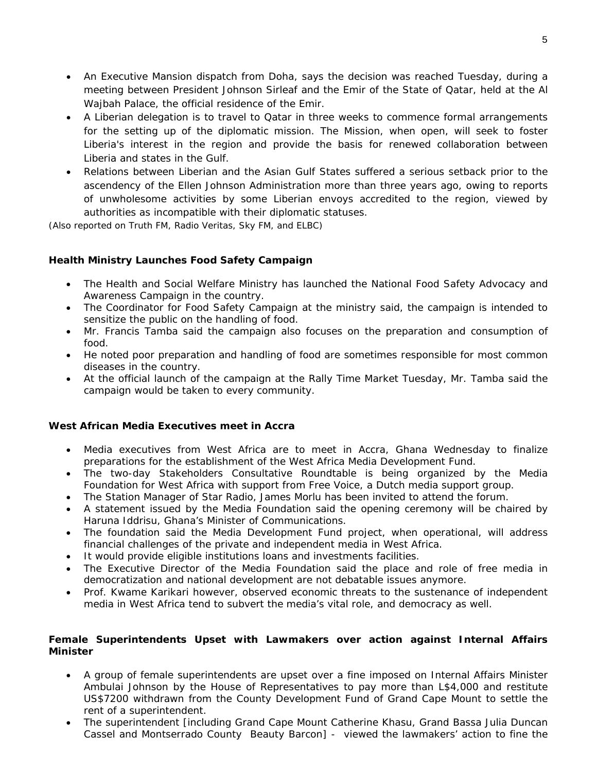- An Executive Mansion dispatch from Doha, says the decision was reached Tuesday, during a meeting between President Johnson Sirleaf and the Emir of the State of Qatar, held at the Al Wajbah Palace, the official residence of the Emir.
- A Liberian delegation is to travel to Qatar in three weeks to commence formal arrangements for the setting up of the diplomatic mission. The Mission, when open, will seek to foster Liberia's interest in the region and provide the basis for renewed collaboration between Liberia and states in the Gulf.
- Relations between Liberian and the Asian Gulf States suffered a serious setback prior to the ascendency of the Ellen Johnson Administration more than three years ago, owing to reports of unwholesome activities by some Liberian envoys accredited to the region, viewed by authorities as incompatible with their diplomatic statuses.

*(Also reported on Truth FM, Radio Veritas, Sky FM, and ELBC)* 

#### **Health Ministry Launches Food Safety Campaign**

- The Health and Social Welfare Ministry has launched the National Food Safety Advocacy and Awareness Campaign in the country.
- The Coordinator for Food Safety Campaign at the ministry said, the campaign is intended to sensitize the public on the handling of food.
- Mr. Francis Tamba said the campaign also focuses on the preparation and consumption of food.
- He noted poor preparation and handling of food are sometimes responsible for most common diseases in the country.
- At the official launch of the campaign at the Rally Time Market Tuesday, Mr. Tamba said the campaign would be taken to every community.

#### **West African Media Executives meet in Accra**

- Media executives from West Africa are to meet in Accra, Ghana Wednesday to finalize preparations for the establishment of the West Africa Media Development Fund.
- The two-day Stakeholders Consultative Roundtable is being organized by the Media Foundation for West Africa with support from Free Voice, a Dutch media support group.
- The Station Manager of Star Radio, James Morlu has been invited to attend the forum.
- A statement issued by the Media Foundation said the opening ceremony will be chaired by Haruna Iddrisu, Ghana's Minister of Communications.
- The foundation said the Media Development Fund project, when operational, will address financial challenges of the private and independent media in West Africa.
- It would provide eligible institutions loans and investments facilities.
- The Executive Director of the Media Foundation said the place and role of free media in democratization and national development are not debatable issues anymore.
- Prof. Kwame Karikari however, observed economic threats to the sustenance of independent media in West Africa tend to subvert the media's vital role, and democracy as well.

#### **Female Superintendents Upset with Lawmakers over action against Internal Affairs Minister**

- A group of female superintendents are upset over a fine imposed on Internal Affairs Minister Ambulai Johnson by the House of Representatives to pay more than L\$4,000 and restitute US\$7200 withdrawn from the County Development Fund of Grand Cape Mount to settle the rent of a superintendent.
- The superintendent [including Grand Cape Mount Catherine Khasu, Grand Bassa Julia Duncan Cassel and Montserrado County Beauty Barcon] - viewed the lawmakers' action to fine the